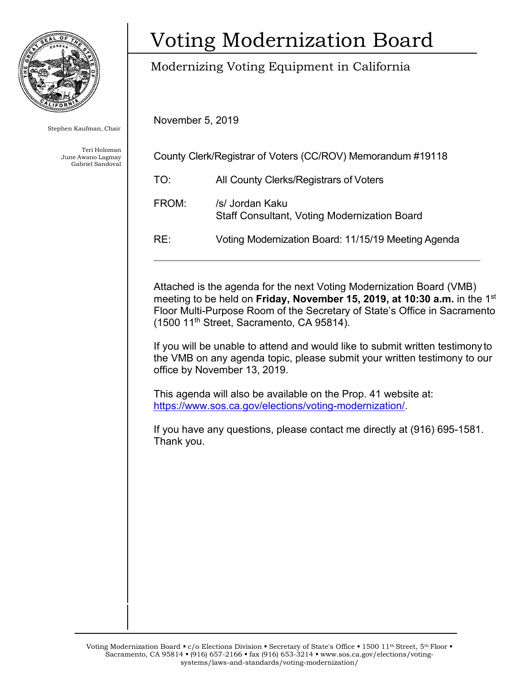

Stephen Kaufman, Chair

Teri Holoman June Awano Lagmay Gabriel Sandoval

# Voting Modernization Board

### Modernizing Voting Equipment in California

November 5, 2019

| County Clerk/Registrar of Voters (CC/ROV) Memorandum #19118 |                                                                        |
|-------------------------------------------------------------|------------------------------------------------------------------------|
| TO:                                                         | All County Clerks/Registrars of Voters                                 |
| FROM:                                                       | /s/ Jordan Kaku<br><b>Staff Consultant, Voting Modernization Board</b> |
| RE:                                                         | Voting Modernization Board: 11/15/19 Meeting Agenda                    |

Attached is the agenda for the next Voting Modernization Board (VMB) meeting to be held on **Friday, November 15, 2019, at 10:30 a.m.** in the 1st Floor Multi-Purpose Room of the Secretary of State's Office in Sacramento (1500 11th Street, Sacramento, CA 95814).

If you will be unable to attend and would like to submit written testimony to the VMB on any agenda topic, please submit your written testimony to our office by November 13, 2019.

This agenda will also be available on the Prop. 41 website at: [https://www.sos.ca.gov/elections/voting-modernization/.](https://www.sos.ca.gov/elections/voting-modernization/)

If you have any questions, please contact me directly at (916) 695-1581. Thank you.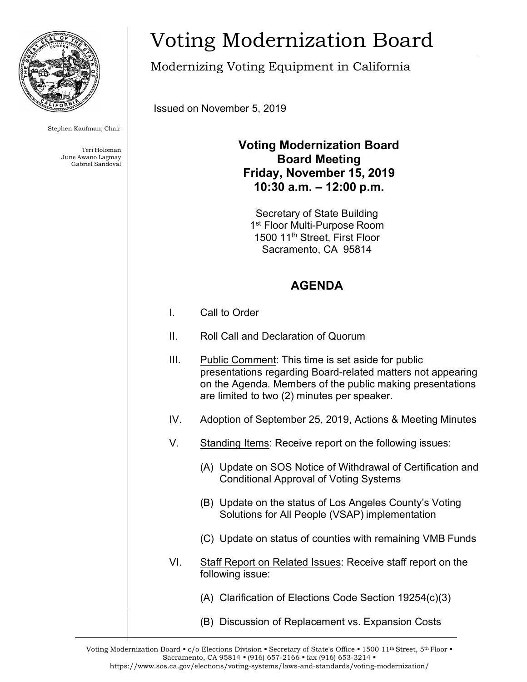

Stephen Kaufman, Chair

Teri Holoman June Awano Lagmay Gabriel Sandoval

# Voting Modernization Board

### Modernizing Voting Equipment in California

Issued on November 5, 2019

#### **Voting Modernization Board Board Meeting Friday, November 15, 2019 10:30 a.m. – 12:00 p.m.**

Secretary of State Building 1<sup>st</sup> Floor Multi-Purpose Room 1500 11th Street, First Floor Sacramento, CA 95814

#### **AGENDA**

- I. Call to Order
- II. Roll Call and Declaration of Quorum
- III. Public Comment: This time is set aside for public presentations regarding Board-related matters not appearing on the Agenda. Members of the public making presentations are limited to two (2) minutes per speaker. IV. Adoption of September 25, 2019, Actions & Meeting Minutes V. Standing Items: Receive report on the following issues: (A) Update on SOS Notice of Withdrawal of Certification and Conditional Approval of Voting Systems (B) Update on the status of Los Angeles County's Voting Solutions for All People (VSAP) implementation (C) Update on status of counties with remaining VMB Funds VI. Staff Report on Related Issues: Receive staff report on the following issue: (A) Clarification of Elections Code Section 19254(c)(3) (B) Discussion of Replacement vs. Expansion Costs

Voting Modernization Board  $\bullet$  c/o Elections Division  $\bullet$  Secretary of State's Office  $\bullet$  1500 11<sup>th</sup> Street, 5<sup>th</sup> Floor  $\bullet$ Sacramento, CA 95814 • (916) 657-2166 • fax (916) 653-3214 • https:/[/www.sos.ca.gov/elections/voting-systems/laws-and-standards/voting-modernization/](http://www.sos.ca.gov/elections/voting-systems/laws-and-standards/voting-modernization/)